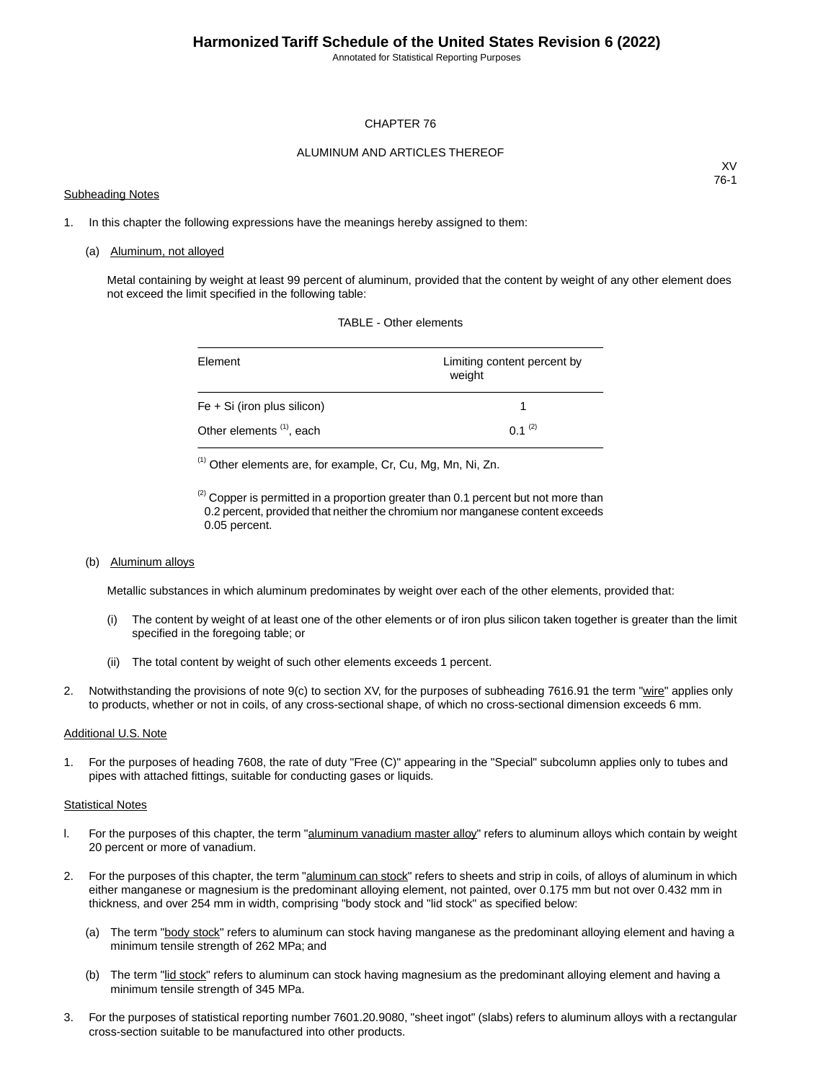Annotated for Statistical Reporting Purposes

#### CHAPTER 76

#### ALUMINUM AND ARTICLES THEREOF

#### Subheading Notes

XV 76-1

1. In this chapter the following expressions have the meanings hereby assigned to them:

#### (a) Aluminum, not alloyed

Metal containing by weight at least 99 percent of aluminum, provided that the content by weight of any other element does not exceed the limit specified in the following table:

| Element                              | Limiting content percent by<br>weight |
|--------------------------------------|---------------------------------------|
| $Fe + Si$ (iron plus silicon)        |                                       |
| Other elements <sup>(1)</sup> , each | $0.1^{(2)}$                           |

TABLE - Other elements

(1) Other elements are, for example, Cr, Cu, Mg, Mn, Ni, Zn.

 $<sup>(2)</sup>$  Copper is permitted in a proportion greater than 0.1 percent but not more than</sup> 0.2 percent, provided that neither the chromium nor manganese content exceeds 0.05 percent.

(b) Aluminum alloys

Metallic substances in which aluminum predominates by weight over each of the other elements, provided that:

- (i) The content by weight of at least one of the other elements or of iron plus silicon taken together is greater than the limit specified in the foregoing table; or
- (ii) The total content by weight of such other elements exceeds 1 percent.
- 2. Notwithstanding the provisions of note 9(c) to section XV, for the purposes of subheading 7616.91 the term "wire" applies only to products, whether or not in coils, of any cross-sectional shape, of which no cross-sectional dimension exceeds 6 mm.

#### Additional U.S. Note

1. For the purposes of heading 7608, the rate of duty "Free (C)" appearing in the "Special" subcolumn applies only to tubes and pipes with attached fittings, suitable for conducting gases or liquids.

#### Statistical Notes

- l. For the purposes of this chapter, the term "aluminum vanadium master alloy" refers to aluminum alloys which contain by weight 20 percent or more of vanadium.
- 2. For the purposes of this chapter, the term "aluminum can stock" refers to sheets and strip in coils, of alloys of aluminum in which either manganese or magnesium is the predominant alloying element, not painted, over 0.175 mm but not over 0.432 mm in thickness, and over 254 mm in width, comprising "body stock and "lid stock" as specified below:
	- (a) The term "body stock" refers to aluminum can stock having manganese as the predominant alloying element and having a minimum tensile strength of 262 MPa; and
	- (b) The term "lid stock" refers to aluminum can stock having magnesium as the predominant alloying element and having a minimum tensile strength of 345 MPa.
- 3. For the purposes of statistical reporting number 7601.20.9080, "sheet ingot" (slabs) refers to aluminum alloys with a rectangular cross-section suitable to be manufactured into other products.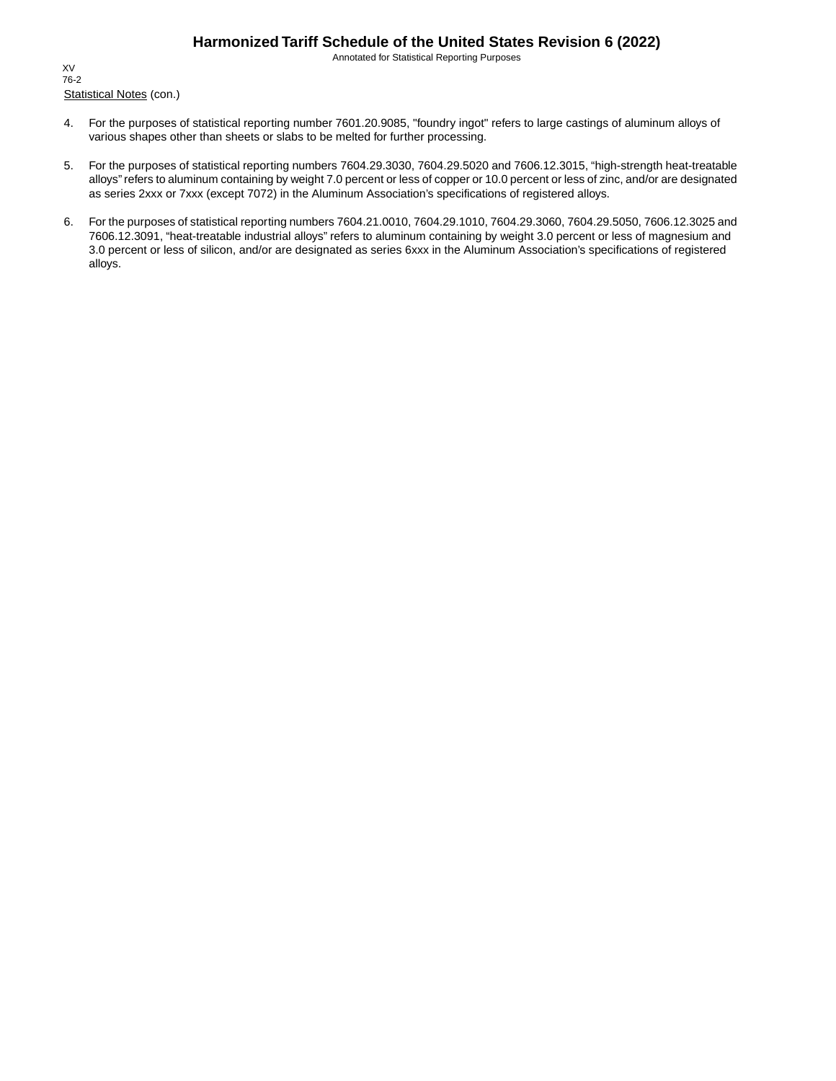Annotated for Statistical Reporting Purposes

Statistical Notes (con.) XV 76-2

- 4. For the purposes of statistical reporting number 7601.20.9085, "foundry ingot" refers to large castings of aluminum alloys of various shapes other than sheets or slabs to be melted for further processing.
- 5. For the purposes of statistical reporting numbers 7604.29.3030, 7604.29.5020 and 7606.12.3015, "high-strength heat-treatable alloys" refers to aluminum containing by weight 7.0 percent or less of copper or 10.0 percent or less of zinc, and/or are designated as series 2xxx or 7xxx (except 7072) in the Aluminum Association's specifications of registered alloys.
- 6. For the purposes of statistical reporting numbers 7604.21.0010, 7604.29.1010, 7604.29.3060, 7604.29.5050, 7606.12.3025 and 7606.12.3091, "heat-treatable industrial alloys" refers to aluminum containing by weight 3.0 percent or less of magnesium and 3.0 percent or less of silicon, and/or are designated as series 6xxx in the Aluminum Association's specifications of registered alloys.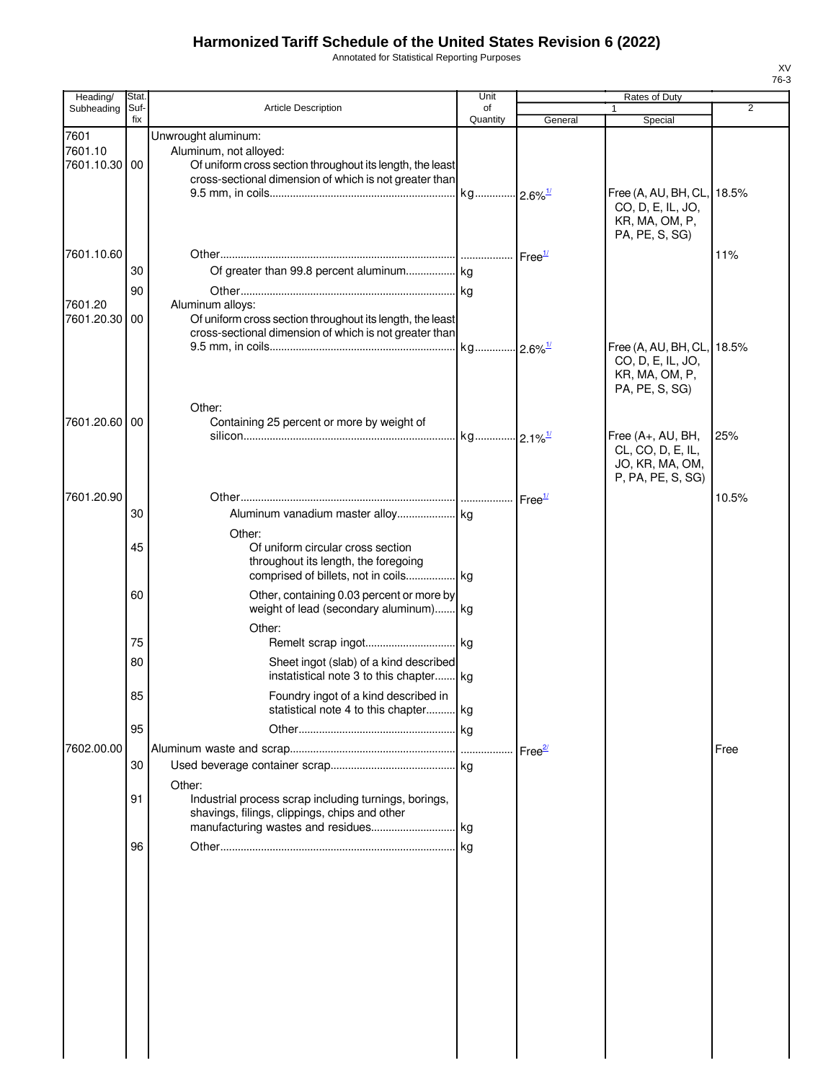Annotated for Statistical Reporting Purposes

| Heading/                         | Stat.       |                                                                                                                                         | Unit                  |                    | Rates of Duty                                                                       |                |
|----------------------------------|-------------|-----------------------------------------------------------------------------------------------------------------------------------------|-----------------------|--------------------|-------------------------------------------------------------------------------------|----------------|
| Subheading                       | Suf-<br>fix | <b>Article Description</b>                                                                                                              | of<br>Quantity        | General            | Special                                                                             | $\overline{2}$ |
| 7601<br>7601.10<br>7601.10.30 00 |             | Unwrought aluminum:<br>Aluminum, not alloyed:<br>Of uniform cross section throughout its length, the least                              |                       |                    |                                                                                     |                |
|                                  |             | cross-sectional dimension of which is not greater than                                                                                  | kg 2.6% <sup>1/</sup> |                    | Free (A, AU, BH, CL, 18.5%<br>CO, D, E, IL, JO,<br>KR, MA, OM, P,<br>PA, PE, S, SG) |                |
| 7601.10.60                       | 30<br>90    |                                                                                                                                         |                       | Free <sup>1/</sup> |                                                                                     | 11%            |
| 7601.20<br>7601.20.30 00         |             | Aluminum alloys:<br>Of uniform cross section throughout its length, the least<br>cross-sectional dimension of which is not greater than |                       |                    | Free (A, AU, BH, CL, 18.5%                                                          |                |
|                                  |             |                                                                                                                                         |                       |                    | CO, D, E, IL, JO,<br>KR, MA, OM, P,<br>PA, PE, S, SG)                               |                |
| 7601.20.60 00                    |             | Other:<br>Containing 25 percent or more by weight of                                                                                    | kg 2.1% <sup>1/</sup> |                    | Free (A+, AU, BH,<br>CL, CO, D, E, IL,<br>JO, KR, MA, OM,<br>P, PA, PE, S, SG)      | 25%            |
| 7601.20.90                       | 30          | Other:                                                                                                                                  |                       | Free <sup>1/</sup> |                                                                                     | 10.5%          |
|                                  | 45          | Of uniform circular cross section<br>throughout its length, the foregoing<br>comprised of billets, not in coils kg                      |                       |                    |                                                                                     |                |
|                                  | 60          | Other, containing 0.03 percent or more by<br>weight of lead (secondary aluminum) kg<br>Other:                                           |                       |                    |                                                                                     |                |
|                                  | 75<br>80    | Sheet ingot (slab) of a kind described                                                                                                  |                       |                    |                                                                                     |                |
|                                  | 85          | instatistical note 3 to this chapter kg<br>Foundry ingot of a kind described in                                                         |                       |                    |                                                                                     |                |
|                                  | 95          | statistical note 4 to this chapter kg                                                                                                   | $\log$                |                    |                                                                                     |                |
| 7602.00.00                       | 30          |                                                                                                                                         |                       | Free <sup>27</sup> |                                                                                     | Free           |
|                                  | 91          | Other:<br>Industrial process scrap including turnings, borings,<br>shavings, filings, clippings, chips and other                        |                       |                    |                                                                                     |                |
|                                  | 96          |                                                                                                                                         |                       |                    |                                                                                     |                |
|                                  |             |                                                                                                                                         |                       |                    |                                                                                     |                |
|                                  |             |                                                                                                                                         |                       |                    |                                                                                     |                |
|                                  |             |                                                                                                                                         |                       |                    |                                                                                     |                |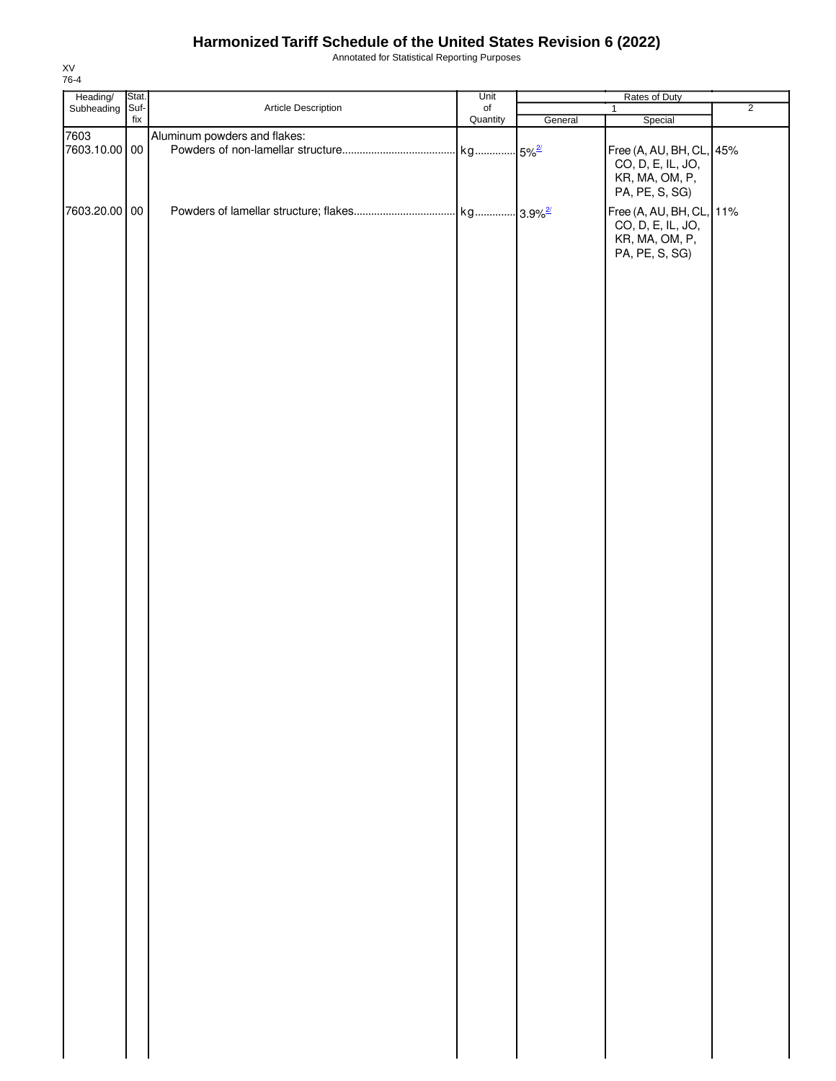Annotated for Statistical Reporting Purposes

| Heading/ Stat.<br>Subheading Suf- |                              | Unit             | Rates of Duty |                                                                                                                       |                |
|-----------------------------------|------------------------------|------------------|---------------|-----------------------------------------------------------------------------------------------------------------------|----------------|
|                                   | Article Description          | $_{\mathsf{of}}$ |               | $\mathbf{1}$                                                                                                          | $\overline{2}$ |
| fix                               |                              | Quantity         | General       | Special                                                                                                               |                |
| 7603<br>7603.10.00 00             | Aluminum powders and flakes: |                  |               | Free (A, AU, BH, CL, 45%<br>CO, D, E, IL, JO,                                                                         |                |
| 7603.20.00 00                     |                              |                  |               | KR, MA, OM, P,<br>PA, PE, S, SG)<br>Free (A, AU, BH, CL, 11%<br>CO, D, E, IL, JO,<br>KR, MA, OM, P,<br>PA, PE, S, SG) |                |
|                                   |                              |                  |               |                                                                                                                       |                |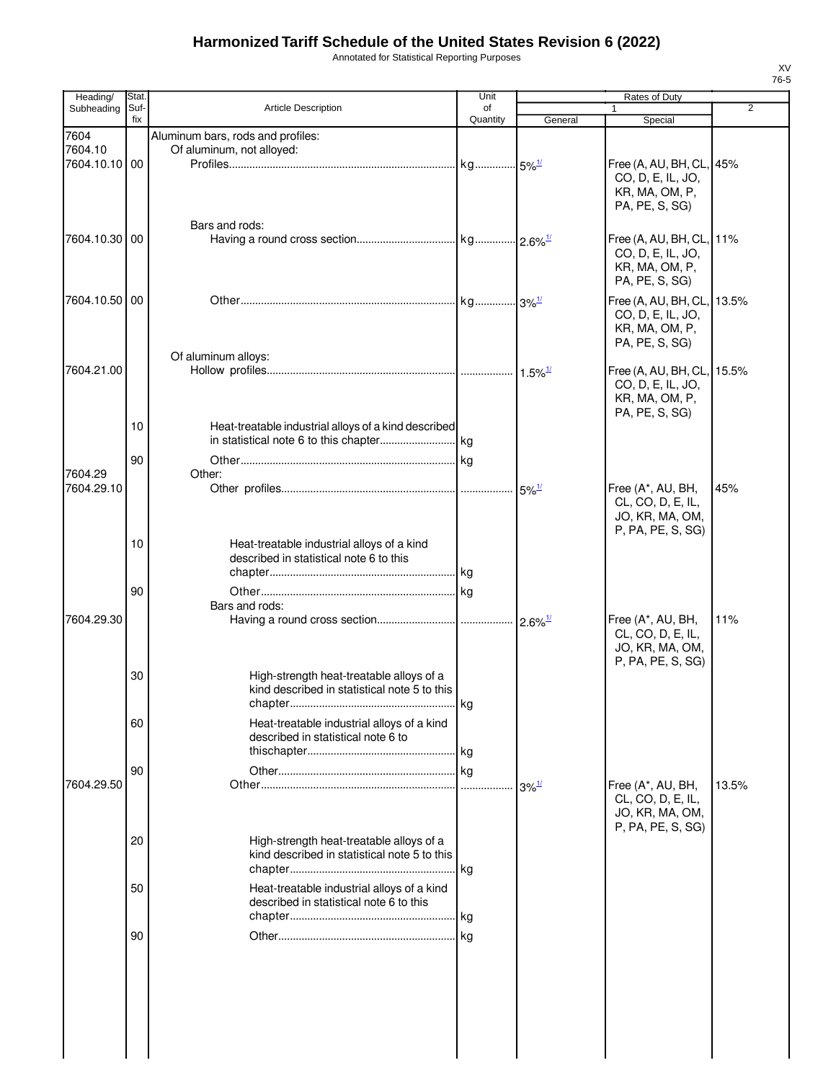Annotated for Statistical Reporting Purposes

| Heading/                 | Stat. |                                                      | Unit     |                          | Rates of Duty                                 |                |
|--------------------------|-------|------------------------------------------------------|----------|--------------------------|-----------------------------------------------|----------------|
| Subheading               | Suf-  | <b>Article Description</b>                           | of       |                          |                                               | $\overline{2}$ |
|                          | fix   |                                                      | Quantity | General                  | Special                                       |                |
| 7604                     |       | Aluminum bars, rods and profiles:                    |          |                          |                                               |                |
| 7604.10<br>7604.10.10 00 |       | Of aluminum, not alloyed:                            |          |                          |                                               |                |
|                          |       |                                                      |          |                          | Free (A, AU, BH, CL, 45%<br>CO, D, E, IL, JO, |                |
|                          |       |                                                      |          |                          | KR, MA, OM, P,                                |                |
|                          |       |                                                      |          |                          | PA, PE, S, SG)                                |                |
|                          |       |                                                      |          |                          |                                               |                |
|                          |       | Bars and rods:                                       |          |                          |                                               |                |
| 7604.10.30 00            |       |                                                      |          |                          | Free (A, AU, BH, CL, 11%                      |                |
|                          |       |                                                      |          |                          | CO, D, E, IL, JO,                             |                |
|                          |       |                                                      |          |                          | KR, MA, OM, P,                                |                |
|                          |       |                                                      |          |                          | PA, PE, S, SG)                                |                |
| 7604.10.50   00          |       |                                                      |          |                          | Free (A, AU, BH, CL, 13.5%                    |                |
|                          |       |                                                      |          |                          | CO, D, E, IL, JO,                             |                |
|                          |       |                                                      |          |                          | KR, MA, OM, P,                                |                |
|                          |       |                                                      |          |                          | PA, PE, S, SG)                                |                |
|                          |       | Of aluminum alloys:                                  |          |                          |                                               |                |
| 7604.21.00               |       |                                                      |          |                          | Free (A, AU, BH, CL, 15.5%                    |                |
|                          |       |                                                      |          |                          | CO, D, E, IL, JO,                             |                |
|                          |       |                                                      |          |                          | KR, MA, OM, P,                                |                |
|                          |       |                                                      |          |                          | PA, PE, S, SG)                                |                |
|                          | 10    | Heat-treatable industrial alloys of a kind described |          |                          |                                               |                |
|                          |       |                                                      |          |                          |                                               |                |
|                          | 90    |                                                      |          |                          |                                               |                |
| 7604.29                  |       | Other:                                               |          |                          |                                               |                |
| 7604.29.10               |       |                                                      |          |                          | Free (A*, AU, BH,                             | 45%            |
|                          |       |                                                      |          |                          | CL, CO, D, E, IL,                             |                |
|                          |       |                                                      |          |                          | JO, KR, MA, OM,                               |                |
|                          |       |                                                      |          |                          | P, PA, PE, S, SG)                             |                |
|                          | 10    | Heat-treatable industrial alloys of a kind           |          |                          |                                               |                |
|                          |       | described in statistical note 6 to this              |          |                          |                                               |                |
|                          |       |                                                      |          |                          |                                               |                |
|                          | 90    |                                                      |          |                          |                                               |                |
|                          |       | Bars and rods:                                       |          |                          |                                               |                |
| 7604.29.30               |       |                                                      |          |                          | Free (A*, AU, BH,                             | 11%            |
|                          |       |                                                      |          |                          | CL, CO, D, E, IL,                             |                |
|                          |       |                                                      |          |                          | JO, KR, MA, OM,                               |                |
|                          |       |                                                      |          |                          | P, PA, PE, S, SG)                             |                |
|                          | 30    | High-strength heat-treatable alloys of a             |          |                          |                                               |                |
|                          |       | kind described in statistical note 5 to this         |          |                          |                                               |                |
|                          |       |                                                      |          |                          |                                               |                |
|                          | 60    | Heat-treatable industrial alloys of a kind           |          |                          |                                               |                |
|                          |       | described in statistical note 6 to                   |          |                          |                                               |                |
|                          |       |                                                      |          |                          |                                               |                |
|                          | 90    |                                                      |          |                          |                                               |                |
| 7604.29.50               |       |                                                      |          | $\cdot$ 3% $\frac{1}{2}$ | Free (A*, AU, BH,                             | 13.5%          |
|                          |       |                                                      |          |                          | CL, CO, D, E, IL,                             |                |
|                          |       |                                                      |          |                          | JO, KR, MA, OM,                               |                |
|                          |       |                                                      |          |                          | P, PA, PE, S, SG)                             |                |
|                          | 20    | High-strength heat-treatable alloys of a             |          |                          |                                               |                |
|                          |       | kind described in statistical note 5 to this         |          |                          |                                               |                |
|                          |       |                                                      | . kg     |                          |                                               |                |
|                          | 50    | Heat-treatable industrial alloys of a kind           |          |                          |                                               |                |
|                          |       | described in statistical note 6 to this              |          |                          |                                               |                |
|                          |       |                                                      |          |                          |                                               |                |
|                          | 90    |                                                      |          |                          |                                               |                |
|                          |       |                                                      |          |                          |                                               |                |
|                          |       |                                                      |          |                          |                                               |                |
|                          |       |                                                      |          |                          |                                               |                |
|                          |       |                                                      |          |                          |                                               |                |
|                          |       |                                                      |          |                          |                                               |                |
|                          |       |                                                      |          |                          |                                               |                |
|                          |       |                                                      |          |                          |                                               |                |
|                          |       |                                                      |          |                          |                                               |                |
|                          |       |                                                      |          |                          |                                               |                |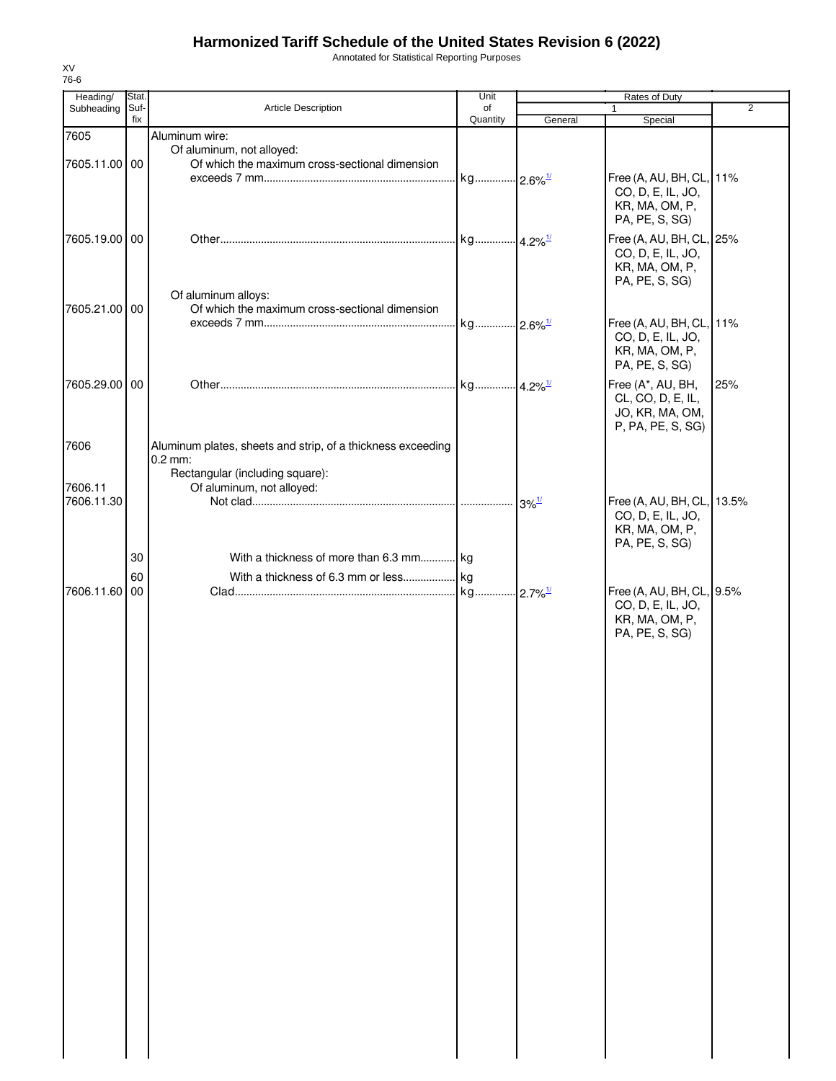Annotated for Statistical Reporting Purposes

| Heading/              | Stat.       |                                                             | Unit                  |                     | Rates of Duty                                   |                |
|-----------------------|-------------|-------------------------------------------------------------|-----------------------|---------------------|-------------------------------------------------|----------------|
| Subheading            | Suf-<br>fix | Article Description                                         | of<br>Quantity        | General             | 1<br>Special                                    | $\overline{2}$ |
| 7605                  |             | Aluminum wire:                                              |                       |                     |                                                 |                |
|                       |             | Of aluminum, not alloyed:                                   |                       |                     |                                                 |                |
| 7605.11.00 00         |             | Of which the maximum cross-sectional dimension              |                       |                     |                                                 |                |
|                       |             |                                                             | kg 2.6% <sup>1/</sup> |                     | Free (A, AU, BH, CL, 11%                        |                |
|                       |             |                                                             |                       |                     | CO, D, E, IL, JO,<br>KR, MA, OM, P,             |                |
|                       |             |                                                             |                       |                     | PA, PE, S, SG)                                  |                |
| 7605.19.00 00         |             |                                                             |                       |                     | Free (A, AU, BH, CL, 25%                        |                |
|                       |             |                                                             |                       |                     | CO, D, E, IL, JO,                               |                |
|                       |             |                                                             |                       |                     | KR, MA, OM, P,                                  |                |
|                       |             | Of aluminum alloys:                                         |                       |                     | PA, PE, S, SG)                                  |                |
| 7605.21.00 00         |             | Of which the maximum cross-sectional dimension              |                       |                     |                                                 |                |
|                       |             |                                                             | kg 2.6% <sup>1/</sup> |                     | Free (A, AU, BH, CL, 11%                        |                |
|                       |             |                                                             |                       |                     | CO, D, E, IL, JO,                               |                |
|                       |             |                                                             |                       |                     | KR, MA, OM, P,                                  |                |
|                       |             |                                                             |                       |                     | PA, PE, S, SG)                                  |                |
| 7605.29.00            | 00          |                                                             |                       |                     | Free (A*, AU, BH,                               | 25%            |
|                       |             |                                                             |                       |                     | CL, CO, D, E, IL,<br>JO, KR, MA, OM,            |                |
|                       |             |                                                             |                       |                     | P, PA, PE, S, SG)                               |                |
| 7606                  |             | Aluminum plates, sheets and strip, of a thickness exceeding |                       |                     |                                                 |                |
|                       |             | $0.2$ mm:                                                   |                       |                     |                                                 |                |
|                       |             | Rectangular (including square):                             |                       |                     |                                                 |                |
| 7606.11<br>7606.11.30 |             | Of aluminum, not alloyed:                                   |                       |                     |                                                 |                |
|                       |             |                                                             |                       | $3\%$ <sup>1/</sup> | Free (A, AU, BH, CL, 13.5%<br>CO, D, E, IL, JO, |                |
|                       |             |                                                             |                       |                     | KR, MA, OM, P,                                  |                |
|                       |             |                                                             |                       |                     | PA, PE, S, SG)                                  |                |
|                       | 30          | With a thickness of more than 6.3 mm kg                     |                       |                     |                                                 |                |
|                       | 60          |                                                             |                       |                     |                                                 |                |
| 7606.11.60            | 00          |                                                             |                       |                     | Free (A, AU, BH, CL, 9.5%<br>CO, D, E, IL, JO,  |                |
|                       |             |                                                             |                       |                     | KR, MA, OM, P,                                  |                |
|                       |             |                                                             |                       |                     | PA, PE, S, SG)                                  |                |
|                       |             |                                                             |                       |                     |                                                 |                |
|                       |             |                                                             |                       |                     |                                                 |                |
|                       |             |                                                             |                       |                     |                                                 |                |
|                       |             |                                                             |                       |                     |                                                 |                |
|                       |             |                                                             |                       |                     |                                                 |                |
|                       |             |                                                             |                       |                     |                                                 |                |
|                       |             |                                                             |                       |                     |                                                 |                |
|                       |             |                                                             |                       |                     |                                                 |                |
|                       |             |                                                             |                       |                     |                                                 |                |
|                       |             |                                                             |                       |                     |                                                 |                |
|                       |             |                                                             |                       |                     |                                                 |                |
|                       |             |                                                             |                       |                     |                                                 |                |
|                       |             |                                                             |                       |                     |                                                 |                |
|                       |             |                                                             |                       |                     |                                                 |                |
|                       |             |                                                             |                       |                     |                                                 |                |
|                       |             |                                                             |                       |                     |                                                 |                |
|                       |             |                                                             |                       |                     |                                                 |                |
|                       |             |                                                             |                       |                     |                                                 |                |
|                       |             |                                                             |                       |                     |                                                 |                |
|                       |             |                                                             |                       |                     |                                                 |                |
|                       |             |                                                             |                       |                     |                                                 |                |
|                       |             |                                                             |                       |                     |                                                 |                |
|                       |             |                                                             |                       |                     |                                                 |                |
|                       |             |                                                             |                       |                     |                                                 |                |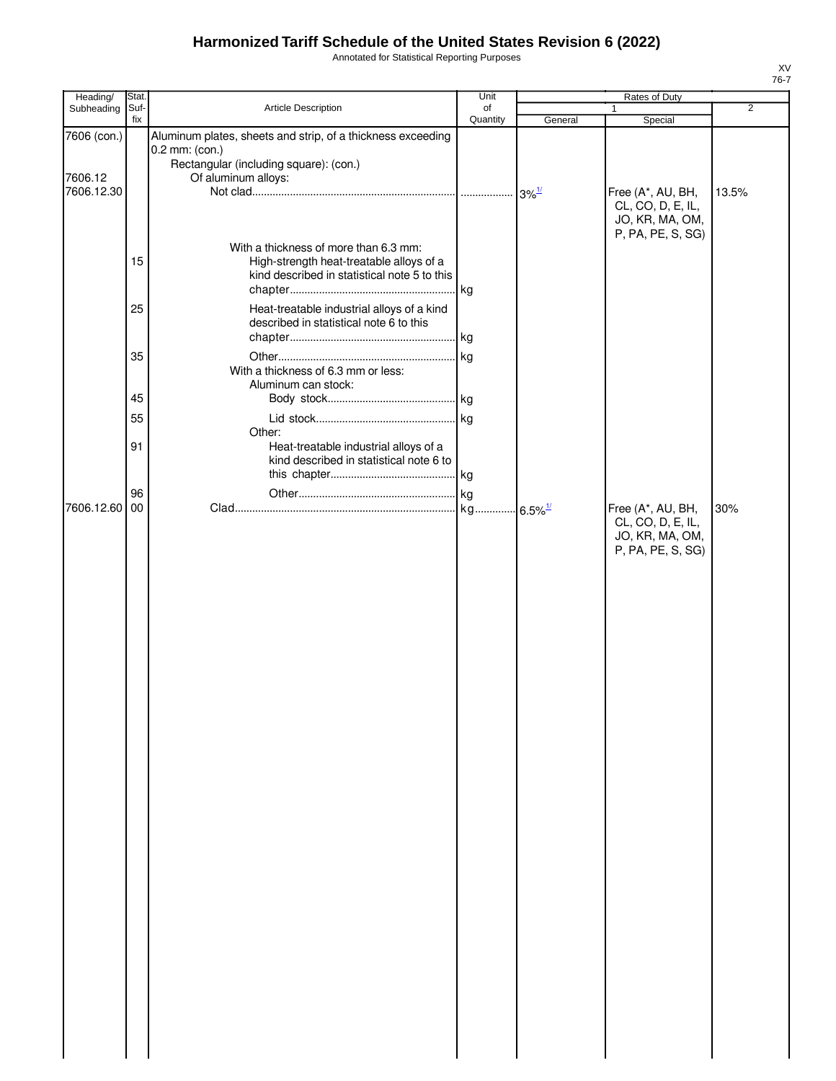Annotated for Statistical Reporting Purposes

| Heading/               | Stat.       |                                                                                                                                                | Unit           |                       | Rates of Duty                                                                  |                |
|------------------------|-------------|------------------------------------------------------------------------------------------------------------------------------------------------|----------------|-----------------------|--------------------------------------------------------------------------------|----------------|
| Subheading             | Suf-<br>fix | Article Description                                                                                                                            | of<br>Quantity |                       | $\mathbf{1}$                                                                   | $\overline{2}$ |
| 7606 (con.)<br>7606.12 |             | Aluminum plates, sheets and strip, of a thickness exceeding<br>0.2 mm: (con.)<br>Rectangular (including square): (con.)<br>Of aluminum alloys: |                | General               | Special                                                                        |                |
| 7606.12.30             |             |                                                                                                                                                |                |                       | Free (A*, AU, BH,<br>CL, CO, D, E, IL,<br>JO, KR, MA, OM,<br>P, PA, PE, S, SG) | 13.5%          |
|                        | 15          | With a thickness of more than 6.3 mm:<br>High-strength heat-treatable alloys of a<br>kind described in statistical note 5 to this              |                |                       |                                                                                |                |
|                        | 25          | Heat-treatable industrial alloys of a kind<br>described in statistical note 6 to this                                                          |                |                       |                                                                                |                |
|                        | 35          | With a thickness of 6.3 mm or less:                                                                                                            |                |                       |                                                                                |                |
|                        |             | Aluminum can stock:                                                                                                                            |                |                       |                                                                                |                |
|                        | 45          |                                                                                                                                                |                |                       |                                                                                |                |
|                        | 55          |                                                                                                                                                |                |                       |                                                                                |                |
|                        | 91          | Other:<br>Heat-treatable industrial alloys of a<br>kind described in statistical note 6 to                                                     |                |                       |                                                                                |                |
|                        | 96          |                                                                                                                                                |                |                       |                                                                                |                |
| 7606.12.60             | 00          |                                                                                                                                                |                | $6.5\%$ <sup>1/</sup> | Free (A*, AU, BH,                                                              | 30%            |
|                        |             |                                                                                                                                                |                |                       | CL, CO, D, E, IL,<br>JO, KR, MA, OM,<br>P, PA, PE, S, SG)                      |                |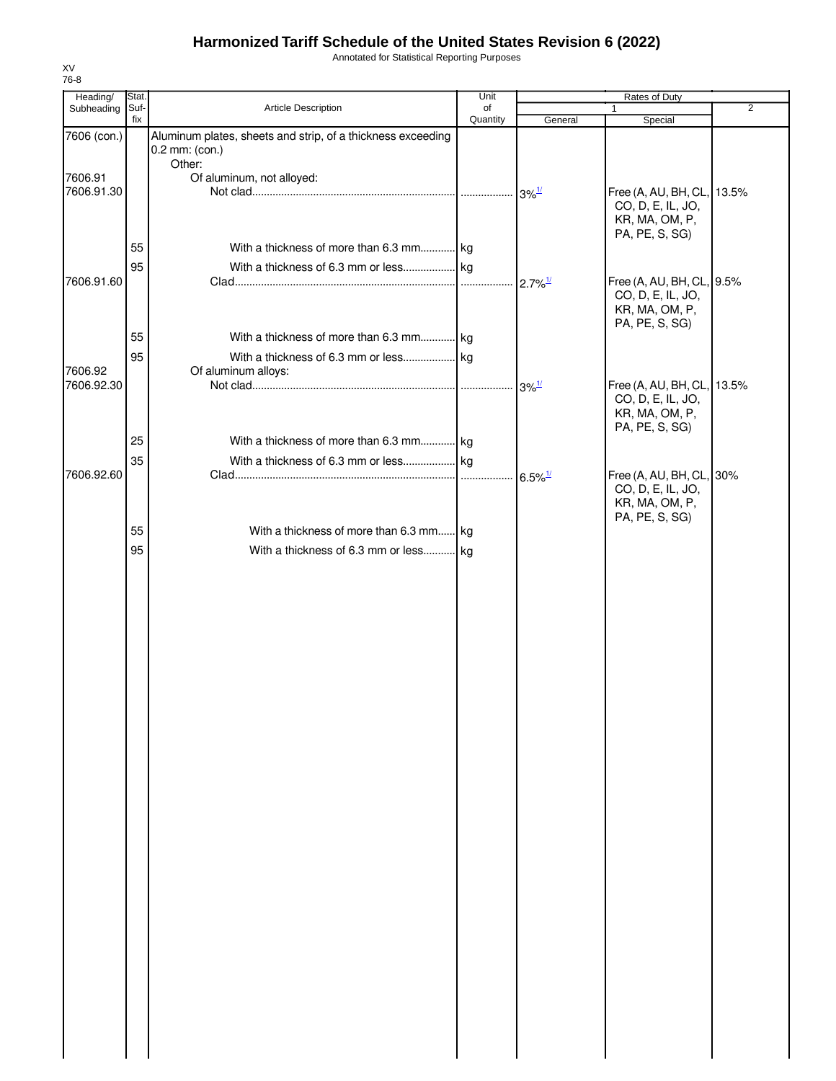Annotated for Statistical Reporting Purposes

| Heading/              | Stat.       |                                                                               | Unit           |                       | Rates of Duty                                                     |                |
|-----------------------|-------------|-------------------------------------------------------------------------------|----------------|-----------------------|-------------------------------------------------------------------|----------------|
| Subheading            | Suf-<br>fix | Article Description                                                           | of<br>Quantity |                       | 1                                                                 | $\overline{2}$ |
| 7606 (con.)           |             | Aluminum plates, sheets and strip, of a thickness exceeding<br>0.2 mm: (con.) |                | General               | Special                                                           |                |
|                       |             | Other:                                                                        |                |                       |                                                                   |                |
| 7606.91<br>7606.91.30 |             | Of aluminum, not alloyed:                                                     |                |                       | Free (A, AU, BH, CL, 13.5%<br>CO, D, E, IL, JO,<br>KR, MA, OM, P, |                |
|                       | 55          | With a thickness of more than 6.3 mm kg                                       |                |                       | PA, PE, S, SG)                                                    |                |
|                       | 95          |                                                                               |                |                       |                                                                   |                |
| 7606.91.60            |             |                                                                               |                |                       | Free (A, AU, BH, CL, 9.5%<br>CO, D, E, IL, JO,<br>KR, MA, OM, P,  |                |
|                       | 55          | With a thickness of more than 6.3 mm kg                                       |                |                       | PA, PE, S, SG)                                                    |                |
|                       |             |                                                                               |                |                       |                                                                   |                |
| 7606.92               | 95          | Of aluminum alloys:                                                           |                |                       |                                                                   |                |
| 7606.92.30            |             |                                                                               |                |                       | Free (A, AU, BH, CL, 13.5%<br>CO, D, E, IL, JO,                   |                |
|                       |             |                                                                               |                |                       | KR, MA, OM, P,                                                    |                |
|                       | 25          | With a thickness of more than 6.3 mm kg                                       |                |                       | PA, PE, S, SG)                                                    |                |
|                       | 35          |                                                                               |                |                       |                                                                   |                |
| 7606.92.60            |             |                                                                               |                | $6.5\%$ <sup>1/</sup> | Free (A, AU, BH, CL, 30%<br>CO, D, E, IL, JO,<br>KR, MA, OM, P,   |                |
|                       | 55          | With a thickness of more than 6.3 mm kg                                       |                |                       | PA, PE, S, SG)                                                    |                |
|                       | 95          | With a thickness of 6.3 mm or less kg                                         |                |                       |                                                                   |                |
|                       |             |                                                                               |                |                       |                                                                   |                |
|                       |             |                                                                               |                |                       |                                                                   |                |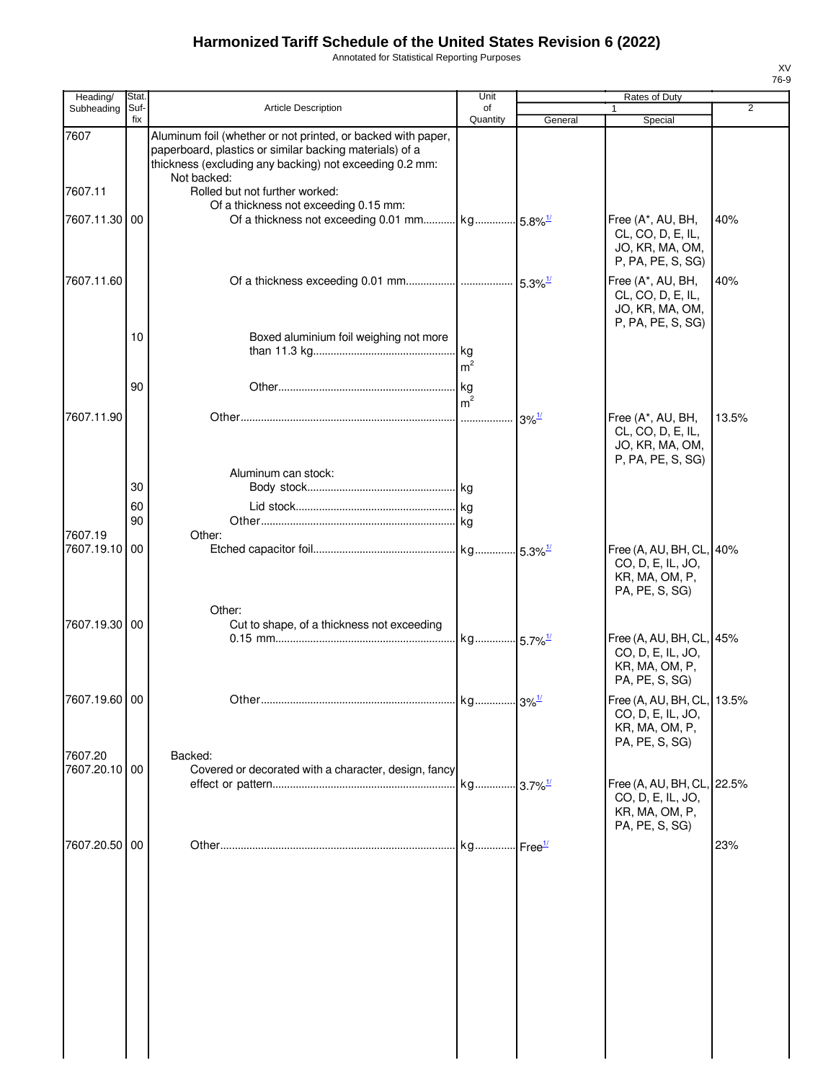Annotated for Statistical Reporting Purposes

| Heading/                 | <b>Stat</b> |                                                                                                                                                                                                   | Unit                 |                            | Rates of Duty                                                                       |       |
|--------------------------|-------------|---------------------------------------------------------------------------------------------------------------------------------------------------------------------------------------------------|----------------------|----------------------------|-------------------------------------------------------------------------------------|-------|
| Subheading               | Suf-<br>fix | <b>Article Description</b>                                                                                                                                                                        | of<br>Quantity       | General                    | Special                                                                             | 2     |
| 7607                     |             | Aluminum foil (whether or not printed, or backed with paper,<br>paperboard, plastics or similar backing materials) of a<br>thickness (excluding any backing) not exceeding 0.2 mm:<br>Not backed: |                      |                            |                                                                                     |       |
| 7607.11                  |             | Rolled but not further worked:<br>Of a thickness not exceeding 0.15 mm:                                                                                                                           |                      |                            |                                                                                     |       |
| 7607.11.30               | 00          | Of a thickness not exceeding 0.01 mm kg 5.8% <sup>1/</sup>                                                                                                                                        |                      |                            | Free (A*, AU, BH,<br>CL, CO, D, E, IL,<br>JO, KR, MA, OM,<br>P, PA, PE, S, SG)      | 40%   |
| 7607.11.60               |             |                                                                                                                                                                                                   |                      |                            | Free (A*, AU, BH,<br>CL, CO, D, E, IL,<br>JO, KR, MA, OM,<br>P, PA, PE, S, SG)      | 40%   |
|                          | 10          | Boxed aluminium foil weighing not more                                                                                                                                                            | m <sup>2</sup>       |                            |                                                                                     |       |
|                          | 90          |                                                                                                                                                                                                   | kg<br>m <sup>2</sup> |                            |                                                                                     |       |
| 7607.11.90               |             |                                                                                                                                                                                                   |                      | $3\%$ <sup>1/</sup>        | Free (A*, AU, BH,<br>CL, CO, D, E, IL,<br>JO, KR, MA, OM,<br>P, PA, PE, S, SG)      | 13.5% |
|                          | 30          | Aluminum can stock:                                                                                                                                                                               |                      |                            |                                                                                     |       |
|                          | 60<br>90    |                                                                                                                                                                                                   |                      |                            |                                                                                     |       |
| 7607.19<br>7607.19.10    | 00          | Other:                                                                                                                                                                                            |                      |                            | Free (A, AU, BH, CL, 40%                                                            |       |
|                          |             |                                                                                                                                                                                                   |                      |                            | CO, D, E, IL, JO,<br>KR, MA, OM, P,<br>PA, PE, S, SG)                               |       |
| 7607.19.30 00            |             | Other:<br>Cut to shape, of a thickness not exceeding                                                                                                                                              |                      |                            | Free (A, AU, BH, CL, 45%<br>CO, D, E, IL, JO,<br>KR, MA, OM, P,<br>PA, PE, S, SG)   |       |
| 7607.19.60 00            |             |                                                                                                                                                                                                   |                      |                            | Free (A, AU, BH, CL, 13.5%<br>CO, D, E, IL, JO,<br>KR, MA, OM, P,<br>PA, PE, S, SG) |       |
| 7607.20<br>7607.20.10 00 |             | Backed:<br>Covered or decorated with a character, design, fancy                                                                                                                                   |                      |                            |                                                                                     |       |
|                          |             |                                                                                                                                                                                                   |                      |                            | Free (A, AU, BH, CL, 22.5%<br>CO, D, E, IL, JO,<br>KR, MA, OM, P,<br>PA, PE, S, SG) |       |
| 7607.20.50 00            |             |                                                                                                                                                                                                   |                      | $\cdot$ Free $\frac{1}{2}$ |                                                                                     | 23%   |
|                          |             |                                                                                                                                                                                                   |                      |                            |                                                                                     |       |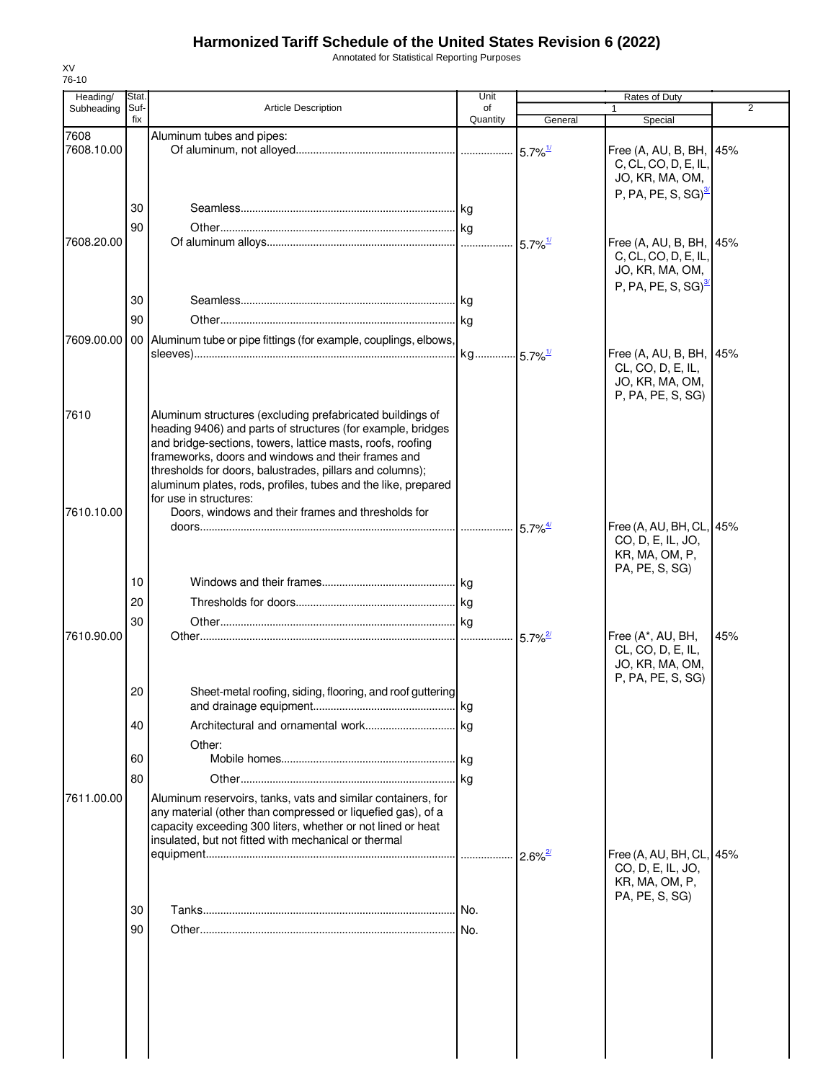Annotated for Statistical Reporting Purposes

| Heading/           | Stat.       |                                                                                                                                                                                                                                                                                                                                                                                                                                                           | Unit           |                       | Rates of Duty                                                                        |     |
|--------------------|-------------|-----------------------------------------------------------------------------------------------------------------------------------------------------------------------------------------------------------------------------------------------------------------------------------------------------------------------------------------------------------------------------------------------------------------------------------------------------------|----------------|-----------------------|--------------------------------------------------------------------------------------|-----|
| Subheading         | Suf-<br>fix | <b>Article Description</b>                                                                                                                                                                                                                                                                                                                                                                                                                                | of<br>Quantity | General               | $\mathbf{1}$<br>Special                                                              | 2   |
| 7608<br>7608.10.00 |             | Aluminum tubes and pipes:                                                                                                                                                                                                                                                                                                                                                                                                                                 |                | $5.7\%$ <sup>1/</sup> | Free (A, AU, B, BH, 45%<br>C, CL, CO, D, E, IL,<br>JO, KR, MA, OM,                   |     |
| 7608.20.00         | 30<br>90    |                                                                                                                                                                                                                                                                                                                                                                                                                                                           |                | $5.7\%$ <sup>1/</sup> | $P, PA, PE, S, SG)^{3/2}$<br>Free (A, AU, B, BH, 45%                                 |     |
|                    | 30          |                                                                                                                                                                                                                                                                                                                                                                                                                                                           |                |                       | C, CL, CO, D, E, IL,<br>JO, KR, MA, OM,<br>P, PA, PE, S, SG) $^3$                    |     |
|                    | 90          |                                                                                                                                                                                                                                                                                                                                                                                                                                                           |                |                       |                                                                                      |     |
| 7609.00.00         |             | 00 Aluminum tube or pipe fittings (for example, couplings, elbows,                                                                                                                                                                                                                                                                                                                                                                                        |                |                       | Free (A, AU, B, BH, 45%<br>CL, CO, D, E, IL,<br>JO, KR, MA, OM,<br>P, PA, PE, S, SG) |     |
| 7610<br>7610.10.00 |             | Aluminum structures (excluding prefabricated buildings of<br>heading 9406) and parts of structures (for example, bridges<br>and bridge-sections, towers, lattice masts, roofs, roofing<br>frameworks, doors and windows and their frames and<br>thresholds for doors, balustrades, pillars and columns);<br>aluminum plates, rods, profiles, tubes and the like, prepared<br>for use in structures:<br>Doors, windows and their frames and thresholds for |                |                       |                                                                                      |     |
|                    |             |                                                                                                                                                                                                                                                                                                                                                                                                                                                           |                | $5.7\%$ <sup>4/</sup> | Free (A, AU, BH, CL, 45%<br>CO, D, E, IL, JO,<br>KR, MA, OM, P,<br>PA, PE, S, SG)    |     |
|                    | 10          |                                                                                                                                                                                                                                                                                                                                                                                                                                                           |                |                       |                                                                                      |     |
|                    | 20          |                                                                                                                                                                                                                                                                                                                                                                                                                                                           |                |                       |                                                                                      |     |
| 7610.90.00         | 30          |                                                                                                                                                                                                                                                                                                                                                                                                                                                           |                | $5.7\%$ <sup>2/</sup> | Free (A*, AU, BH,<br>CL, CO, D, E, IL,<br>JO, KR, MA, OM,<br>P, PA, PE, S, SG)       | 45% |
|                    | 20          | Sheet-metal roofing, siding, flooring, and roof guttering                                                                                                                                                                                                                                                                                                                                                                                                 |                |                       |                                                                                      |     |
|                    | 40          |                                                                                                                                                                                                                                                                                                                                                                                                                                                           |                |                       |                                                                                      |     |
|                    |             | Other:                                                                                                                                                                                                                                                                                                                                                                                                                                                    |                |                       |                                                                                      |     |
|                    | 60          |                                                                                                                                                                                                                                                                                                                                                                                                                                                           |                |                       |                                                                                      |     |
| 7611.00.00         | 80          | Aluminum reservoirs, tanks, vats and similar containers, for<br>any material (other than compressed or liquefied gas), of a<br>capacity exceeding 300 liters, whether or not lined or heat<br>insulated, but not fitted with mechanical or thermal                                                                                                                                                                                                        |                |                       | Free (A, AU, BH, CL, 45%                                                             |     |
|                    | 30          |                                                                                                                                                                                                                                                                                                                                                                                                                                                           |                |                       | CO, D, E, IL, JO,<br>KR, MA, OM, P,<br>PA, PE, S, SG)                                |     |
|                    | 90          |                                                                                                                                                                                                                                                                                                                                                                                                                                                           |                |                       |                                                                                      |     |
|                    |             |                                                                                                                                                                                                                                                                                                                                                                                                                                                           |                |                       |                                                                                      |     |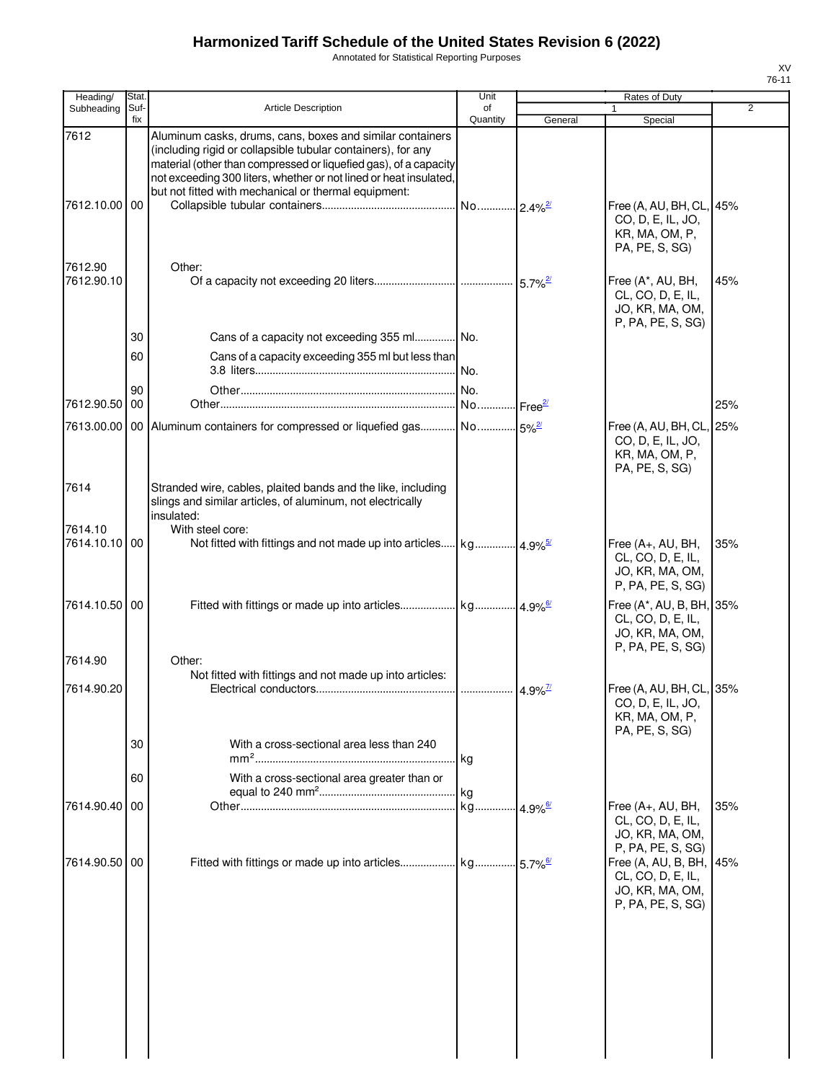Annotated for Statistical Reporting Purposes

| Heading/              | Stat.       |                                                                                                                                                                                                                                                                                                                            | Unit                  |         | Rates of Duty                                                                         |                |
|-----------------------|-------------|----------------------------------------------------------------------------------------------------------------------------------------------------------------------------------------------------------------------------------------------------------------------------------------------------------------------------|-----------------------|---------|---------------------------------------------------------------------------------------|----------------|
| Subheading            | Suf-<br>fix | <b>Article Description</b>                                                                                                                                                                                                                                                                                                 | οf<br>Quantity        | General | $\mathbf{1}$<br>Special                                                               | $\overline{2}$ |
| 7612<br>7612.10.00 00 |             | Aluminum casks, drums, cans, boxes and similar containers<br>(including rigid or collapsible tubular containers), for any<br>material (other than compressed or liquefied gas), of a capacity<br>not exceeding 300 liters, whether or not lined or heat insulated,<br>but not fitted with mechanical or thermal equipment: |                       |         | Free (A, AU, BH, CL, 45%<br>CO, D, E, IL, JO,<br>KR, MA, OM, P,<br>PA, PE, S, SG)     |                |
| 7612.90<br>7612.90.10 |             | Other:                                                                                                                                                                                                                                                                                                                     |                       |         | Free (A*, AU, BH,<br>CL, CO, D, E, IL,<br>JO, KR, MA, OM,                             | 45%            |
|                       | 30          | Cans of a capacity not exceeding 355 ml No.                                                                                                                                                                                                                                                                                |                       |         | P, PA, PE, S, SG)                                                                     |                |
|                       | 60          | Cans of a capacity exceeding 355 ml but less than                                                                                                                                                                                                                                                                          |                       |         |                                                                                       |                |
|                       | 90          |                                                                                                                                                                                                                                                                                                                            |                       |         |                                                                                       |                |
| 7612.90.50            | 00          |                                                                                                                                                                                                                                                                                                                            |                       |         |                                                                                       | 25%            |
|                       |             | 7613.00.00   00   Aluminum containers for compressed or liquefied gas No 5% <sup>2</sup>                                                                                                                                                                                                                                   |                       |         | Free (A, AU, BH, CL,<br>CO, D, E, IL, JO,<br>KR, MA, OM, P,<br>PA, PE, S, SG)         | 25%            |
| 7614<br>7614.10       |             | Stranded wire, cables, plaited bands and the like, including<br>slings and similar articles, of aluminum, not electrically<br>insulated:<br>With steel core:                                                                                                                                                               |                       |         |                                                                                       |                |
| 7614.10.10 00         |             |                                                                                                                                                                                                                                                                                                                            |                       |         | Free $(A+, AU, BH,$<br>CL, CO, D, E, IL,<br>JO, KR, MA, OM,<br>P, PA, PE, S, SG)      | 35%            |
| 7614.10.50 00         |             |                                                                                                                                                                                                                                                                                                                            |                       |         | Free (A*, AU, B, BH, 35%<br>CL, CO, D, E, IL,<br>JO, KR, MA, OM,<br>P, PA, PE, S, SG) |                |
| 7614.90               |             | Other:                                                                                                                                                                                                                                                                                                                     |                       |         |                                                                                       |                |
| 7614.90.20            |             | Not fitted with fittings and not made up into articles:                                                                                                                                                                                                                                                                    |                       |         | Free (A, AU, BH, CL, 35%<br>CO, D, E, IL, JO,<br>KR, MA, OM, P,<br>PA, PE, S, SG)     |                |
|                       | 30          | With a cross-sectional area less than 240                                                                                                                                                                                                                                                                                  |                       |         |                                                                                       |                |
|                       | 60          | $mm2$<br>With a cross-sectional area greater than or                                                                                                                                                                                                                                                                       | kg                    |         |                                                                                       |                |
|                       |             |                                                                                                                                                                                                                                                                                                                            | kg                    |         |                                                                                       |                |
| 7614.90.40            | 00          |                                                                                                                                                                                                                                                                                                                            | kg 4.9% <sup>6/</sup> |         | Free (A+, AU, BH,<br>CL, CO, D, E, IL,<br>JO, KR, MA, OM,<br>P, PA, PE, S, SG)        | 35%            |
| 7614.90.50 00         |             |                                                                                                                                                                                                                                                                                                                            |                       |         | Free (A, AU, B, BH,<br>CL, CO, D, E, IL,<br>JO, KR, MA, OM,<br>P, PA, PE, S, SG)      | 45%            |
|                       |             |                                                                                                                                                                                                                                                                                                                            |                       |         |                                                                                       |                |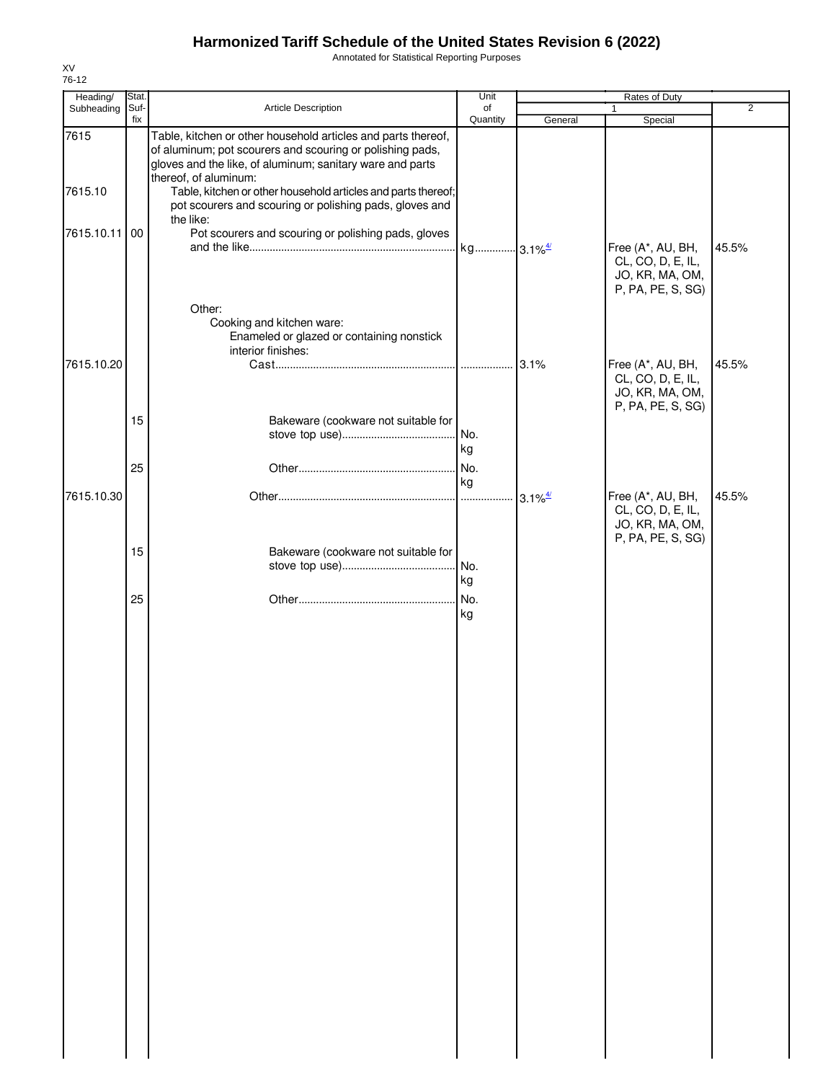Annotated for Statistical Reporting Purposes

| Heading/        | Stat. |                                                                                                                                                                                                                                                                                   | Unit                  |                                             | Rates of Duty                                                                  |       |
|-----------------|-------|-----------------------------------------------------------------------------------------------------------------------------------------------------------------------------------------------------------------------------------------------------------------------------------|-----------------------|---------------------------------------------|--------------------------------------------------------------------------------|-------|
| Subheading      | Suf-  | Article Description                                                                                                                                                                                                                                                               | of                    |                                             | 1                                                                              | 2     |
|                 | fix   |                                                                                                                                                                                                                                                                                   | Quantity              | General                                     | Special                                                                        |       |
| 7615<br>7615.10 |       | Table, kitchen or other household articles and parts thereof,<br>of aluminum; pot scourers and scouring or polishing pads,<br>gloves and the like, of aluminum; sanitary ware and parts<br>thereof, of aluminum:<br>Table, kitchen or other household articles and parts thereof; |                       |                                             |                                                                                |       |
| 7615.10.11 00   |       | pot scourers and scouring or polishing pads, gloves and<br>the like:<br>Pot scourers and scouring or polishing pads, gloves                                                                                                                                                       |                       |                                             |                                                                                |       |
|                 |       | Other:                                                                                                                                                                                                                                                                            | kg 3.1% <sup>4/</sup> |                                             | Free (A*, AU, BH,<br>CL, CO, D, E, IL,<br>JO, KR, MA, OM,<br>P, PA, PE, S, SG) | 45.5% |
|                 |       | Cooking and kitchen ware:<br>Enameled or glazed or containing nonstick<br>interior finishes:                                                                                                                                                                                      |                       |                                             |                                                                                |       |
| 7615.10.20      |       |                                                                                                                                                                                                                                                                                   |                       | 3.1%                                        | Free (A*, AU, BH,<br>CL, CO, D, E, IL,<br>JO, KR, MA, OM,<br>P, PA, PE, S, SG) | 45.5% |
|                 | 15    | Bakeware (cookware not suitable for                                                                                                                                                                                                                                               | No.<br>kg             |                                             |                                                                                |       |
|                 | 25    |                                                                                                                                                                                                                                                                                   | No.<br>kg             |                                             |                                                                                |       |
| 7615.10.30      |       |                                                                                                                                                                                                                                                                                   |                       | $3.1\%$ <sup><math>\frac{4}{2}</math></sup> | Free (A*, AU, BH,<br>CL, CO, D, E, IL,<br>JO, KR, MA, OM,<br>P, PA, PE, S, SG) | 45.5% |
|                 | 15    | Bakeware (cookware not suitable for                                                                                                                                                                                                                                               | No.<br>kg             |                                             |                                                                                |       |
|                 | 25    |                                                                                                                                                                                                                                                                                   | No.<br>kg             |                                             |                                                                                |       |
|                 |       |                                                                                                                                                                                                                                                                                   |                       |                                             |                                                                                |       |
|                 |       |                                                                                                                                                                                                                                                                                   |                       |                                             |                                                                                |       |
|                 |       |                                                                                                                                                                                                                                                                                   |                       |                                             |                                                                                |       |
|                 |       |                                                                                                                                                                                                                                                                                   |                       |                                             |                                                                                |       |
|                 |       |                                                                                                                                                                                                                                                                                   |                       |                                             |                                                                                |       |
|                 |       |                                                                                                                                                                                                                                                                                   |                       |                                             |                                                                                |       |
|                 |       |                                                                                                                                                                                                                                                                                   |                       |                                             |                                                                                |       |
|                 |       |                                                                                                                                                                                                                                                                                   |                       |                                             |                                                                                |       |
|                 |       |                                                                                                                                                                                                                                                                                   |                       |                                             |                                                                                |       |
|                 |       |                                                                                                                                                                                                                                                                                   |                       |                                             |                                                                                |       |
|                 |       |                                                                                                                                                                                                                                                                                   |                       |                                             |                                                                                |       |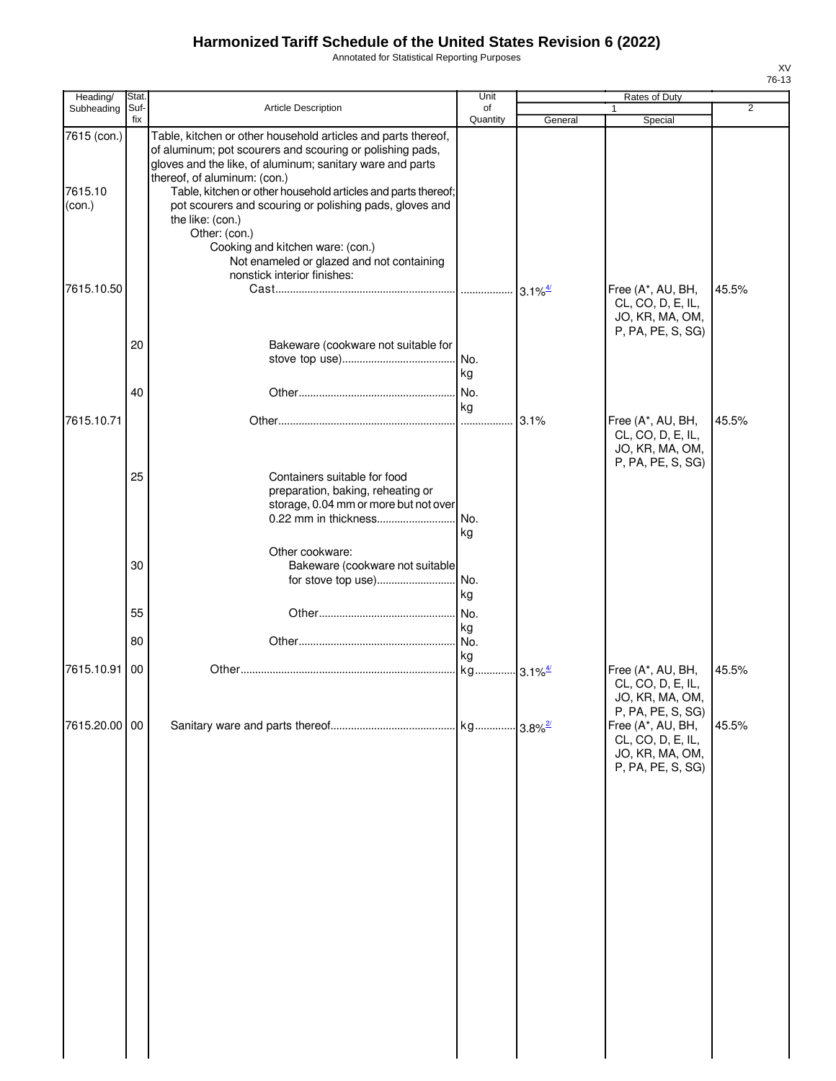Annotated for Statistical Reporting Purposes

| Heading/                                       | Stat.       |                                                                                                                                                                                                                                                                                                                                                                                                                                                                                                          | Unit                        |         | <b>Rates of Duty</b>                                                                                |       |
|------------------------------------------------|-------------|----------------------------------------------------------------------------------------------------------------------------------------------------------------------------------------------------------------------------------------------------------------------------------------------------------------------------------------------------------------------------------------------------------------------------------------------------------------------------------------------------------|-----------------------------|---------|-----------------------------------------------------------------------------------------------------|-------|
| Subheading                                     | Suf-<br>fix | Article Description                                                                                                                                                                                                                                                                                                                                                                                                                                                                                      | of<br>Quantity              | General | $\mathbf{1}$<br>Special                                                                             | 2     |
| 7615 (con.)<br>7615.10<br>(con.)<br>7615.10.50 |             | Table, kitchen or other household articles and parts thereof,<br>of aluminum; pot scourers and scouring or polishing pads,<br>gloves and the like, of aluminum; sanitary ware and parts<br>thereof, of aluminum: (con.)<br>Table, kitchen or other household articles and parts thereof;<br>pot scourers and scouring or polishing pads, gloves and<br>the like: (con.)<br>Other: (con.)<br>Cooking and kitchen ware: (con.)<br>Not enameled or glazed and not containing<br>nonstick interior finishes: |                             |         | Free (A*, AU, BH,                                                                                   | 45.5% |
|                                                | 20          | Bakeware (cookware not suitable for                                                                                                                                                                                                                                                                                                                                                                                                                                                                      | No.<br>kg                   |         | CL, CO, D, E, IL,<br>JO, KR, MA, OM,<br>P, PA, PE, S, SG)                                           |       |
|                                                | 40          |                                                                                                                                                                                                                                                                                                                                                                                                                                                                                                          | No.                         |         |                                                                                                     |       |
| 7615.10.71                                     |             |                                                                                                                                                                                                                                                                                                                                                                                                                                                                                                          | kg                          | 3.1%    | Free (A*, AU, BH,<br>CL, CO, D, E, IL,<br>JO, KR, MA, OM,<br>P, PA, PE, S, SG)                      | 45.5% |
|                                                | 25          | Containers suitable for food<br>preparation, baking, reheating or<br>storage, 0.04 mm or more but not over<br>0.22 mm in thickness                                                                                                                                                                                                                                                                                                                                                                       | No.<br>kg                   |         |                                                                                                     |       |
|                                                | 30          | Other cookware:<br>Bakeware (cookware not suitable<br>for stove top use)                                                                                                                                                                                                                                                                                                                                                                                                                                 | No.<br>kg                   |         |                                                                                                     |       |
|                                                | 55          |                                                                                                                                                                                                                                                                                                                                                                                                                                                                                                          | No.<br>kg                   |         |                                                                                                     |       |
|                                                | 80          |                                                                                                                                                                                                                                                                                                                                                                                                                                                                                                          | No.                         |         |                                                                                                     |       |
| 7615.10.91                                     | 00          |                                                                                                                                                                                                                                                                                                                                                                                                                                                                                                          | kg<br>kg 3.1% <sup>4/</sup> |         | Free (A*, AU, BH,<br>CL, CO, D, E, IL,<br>JO, KR, MA, OM,                                           | 45.5% |
| 7615.20.00 00                                  |             |                                                                                                                                                                                                                                                                                                                                                                                                                                                                                                          |                             |         | P, PA, PE, S, SG)<br>Free (A*, AU, BH,<br>CL, CO, D, E, IL,<br>JO, KR, MA, OM,<br>P, PA, PE, S, SG) | 45.5% |
|                                                |             |                                                                                                                                                                                                                                                                                                                                                                                                                                                                                                          |                             |         |                                                                                                     |       |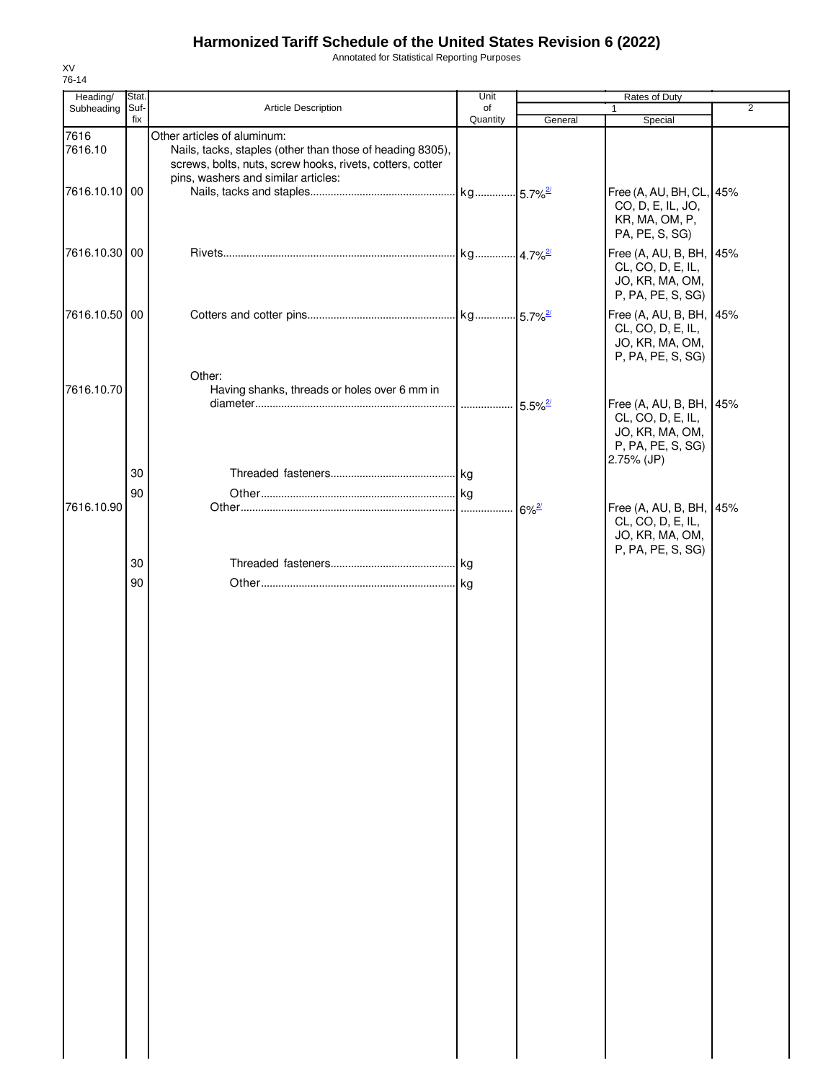Annotated for Statistical Reporting Purposes

| Heading/        | Stat. |                                                                                                                                                                                              | Unit     | Rates of Duty       |                                                                                                    |                |  |
|-----------------|-------|----------------------------------------------------------------------------------------------------------------------------------------------------------------------------------------------|----------|---------------------|----------------------------------------------------------------------------------------------------|----------------|--|
| Subheading      | Suf-  | Article Description                                                                                                                                                                          | of       |                     | 1                                                                                                  | $\overline{2}$ |  |
|                 | fix   |                                                                                                                                                                                              | Quantity | General             | Special                                                                                            |                |  |
| 7616<br>7616.10 |       | Other articles of aluminum:<br>Nails, tacks, staples (other than those of heading 8305),<br>screws, bolts, nuts, screw hooks, rivets, cotters, cotter<br>pins, washers and similar articles: |          |                     |                                                                                                    |                |  |
| 7616.10.10 00   |       |                                                                                                                                                                                              |          |                     | Free (A, AU, BH, CL, 45%<br>CO, D, E, IL, JO,<br>KR, MA, OM, P,<br>PA, PE, S, SG)                  |                |  |
| 7616.10.30 00   |       |                                                                                                                                                                                              |          |                     | Free (A, AU, B, BH, 45%<br>CL, CO, D, E, IL,<br>JO, KR, MA, OM,<br>P, PA, PE, S, SG)               |                |  |
| 7616.10.50 00   |       |                                                                                                                                                                                              |          |                     | Free (A, AU, B, BH, 45%<br>CL, CO, D, E, IL,<br>JO, KR, MA, OM,<br>P, PA, PE, S, SG)               |                |  |
| 7616.10.70      |       | Other:<br>Having shanks, threads or holes over 6 mm in                                                                                                                                       |          |                     |                                                                                                    |                |  |
|                 |       |                                                                                                                                                                                              |          |                     | Free (A, AU, B, BH, 45%<br>CL, CO, D, E, IL,<br>JO, KR, MA, OM,<br>P, PA, PE, S, SG)<br>2.75% (JP) |                |  |
|                 | 30    |                                                                                                                                                                                              |          |                     |                                                                                                    |                |  |
|                 | 90    |                                                                                                                                                                                              |          |                     |                                                                                                    |                |  |
| 7616.10.90      |       |                                                                                                                                                                                              |          | $6\%$ <sup>2/</sup> | Free (A, AU, B, BH, 45%<br>CL, CO, D, E, IL,<br>JO, KR, MA, OM,<br>P, PA, PE, S, SG)               |                |  |
|                 | 30    |                                                                                                                                                                                              |          |                     |                                                                                                    |                |  |
|                 | 90    |                                                                                                                                                                                              |          |                     |                                                                                                    |                |  |
|                 |       |                                                                                                                                                                                              |          |                     |                                                                                                    |                |  |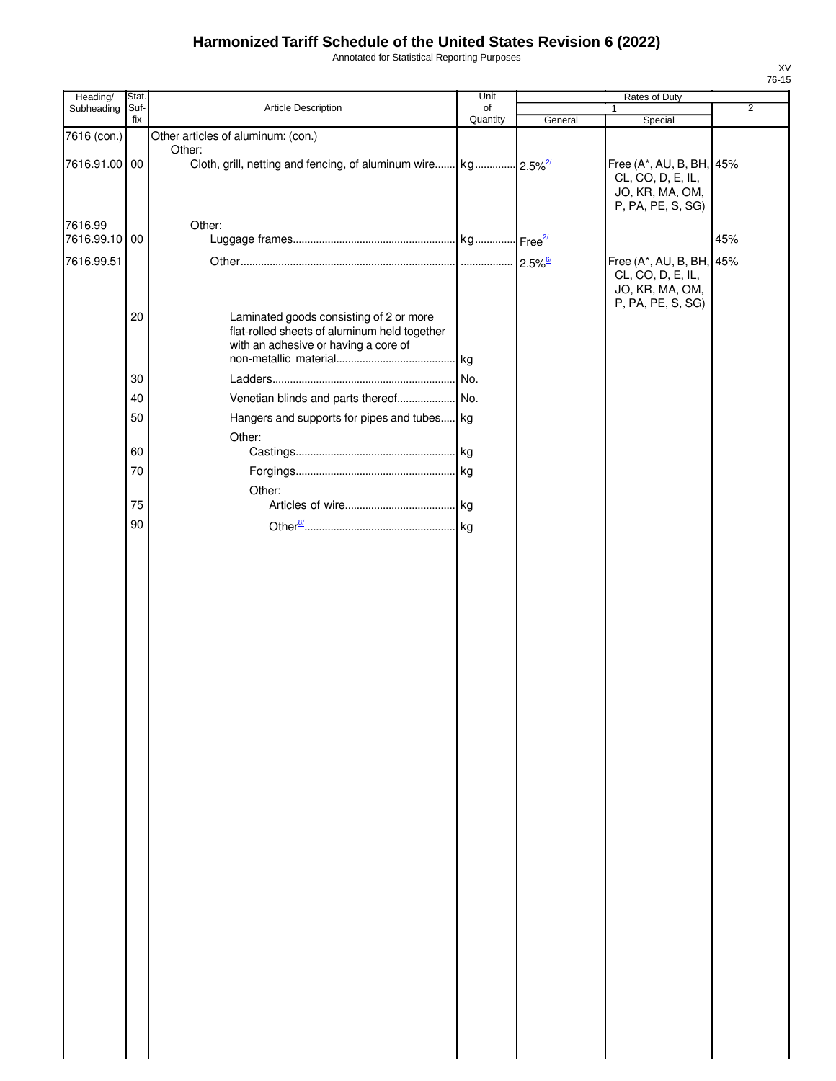Annotated for Statistical Reporting Purposes

| Stat.<br>Suf- | Article Description                                                                                                             | Unit                       | Rates of Duty                                                                |                                                           |                                                                                      |
|---------------|---------------------------------------------------------------------------------------------------------------------------------|----------------------------|------------------------------------------------------------------------------|-----------------------------------------------------------|--------------------------------------------------------------------------------------|
|               |                                                                                                                                 |                            |                                                                              | 1                                                         | $\overline{2}$                                                                       |
|               | Other articles of aluminum: (con.)                                                                                              |                            |                                                                              |                                                           |                                                                                      |
| 7616.91.00 00 |                                                                                                                                 |                            |                                                                              | CL, CO, D, E, IL,<br>JO, KR, MA, OM,<br>P, PA, PE, S, SG) |                                                                                      |
| 7616.99.10 00 |                                                                                                                                 |                            |                                                                              |                                                           | 45%                                                                                  |
|               |                                                                                                                                 |                            |                                                                              | CL, CO, D, E, IL,<br>JO, KR, MA, OM,                      |                                                                                      |
| 20            | Laminated goods consisting of 2 or more<br>flat-rolled sheets of aluminum held together<br>with an adhesive or having a core of |                            |                                                                              |                                                           |                                                                                      |
|               |                                                                                                                                 |                            |                                                                              |                                                           |                                                                                      |
|               |                                                                                                                                 |                            |                                                                              |                                                           |                                                                                      |
|               |                                                                                                                                 |                            |                                                                              |                                                           |                                                                                      |
|               |                                                                                                                                 |                            |                                                                              |                                                           |                                                                                      |
| 60            |                                                                                                                                 |                            |                                                                              |                                                           |                                                                                      |
| 70            |                                                                                                                                 |                            |                                                                              |                                                           |                                                                                      |
|               | Other:                                                                                                                          |                            |                                                                              |                                                           |                                                                                      |
| 75            |                                                                                                                                 |                            |                                                                              |                                                           |                                                                                      |
|               |                                                                                                                                 |                            |                                                                              |                                                           |                                                                                      |
|               |                                                                                                                                 |                            |                                                                              |                                                           |                                                                                      |
|               | fix<br>30<br>40<br>50<br>90                                                                                                     | Other:<br>Other:<br>Other: | of<br>Quantity<br>. kg<br>No.<br>Hangers and supports for pipes and tubes kg | General                                                   | Special<br>Free (A*, AU, B, BH, 45%<br>Free (A*, AU, B, BH, 45%<br>P, PA, PE, S, SG) |